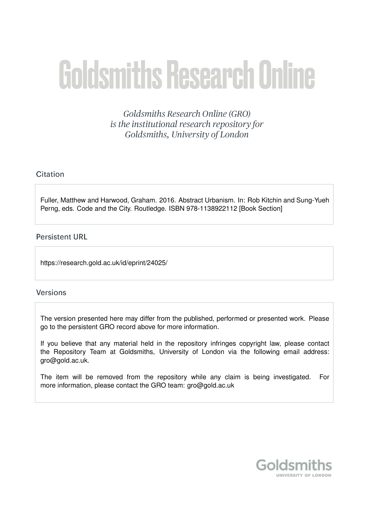# **Goldsmiths Research Online**

Goldsmiths Research Online (GRO) is the institutional research repository for Goldsmiths, University of London

# Citation

Fuller, Matthew and Harwood, Graham. 2016. Abstract Urbanism. In: Rob Kitchin and Sung-Yueh Perng, eds. Code and the City. Routledge. ISBN 978-1138922112 [Book Section]

# **Persistent URL**

https://research.gold.ac.uk/id/eprint/24025/

# **Versions**

The version presented here may differ from the published, performed or presented work. Please go to the persistent GRO record above for more information.

If you believe that any material held in the repository infringes copyright law, please contact the Repository Team at Goldsmiths, University of London via the following email address: gro@gold.ac.uk.

The item will be removed from the repository while any claim is being investigated. For more information, please contact the GRO team: gro@gold.ac.uk

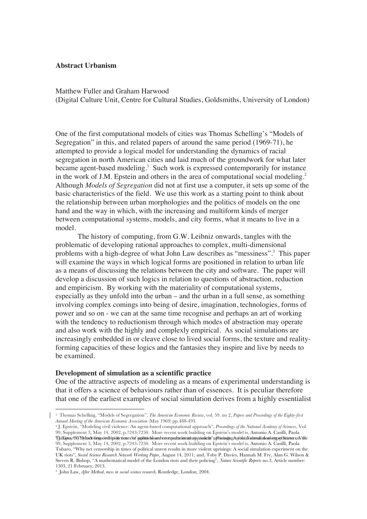# **Abstract Urbanism**

Matthew Fuller and Graham Harwood (Digital Culture Unit, Centre for Cultural Studies, Goldsmiths, University of London)

One of the first computational models of cities was Thomas Schelling's "Models of Segregation" in this, and related papers of around the same period (1969-71), he attempted to provide a logical model for understanding the dynamics of racial segregation in north American cities and laid much of the groundwork for what later became agent-based modeling.<sup>1</sup> Such work is expressed contemporarily for instance in the work of J.M. Epstein and others in the area of computational social modeling.<sup>2</sup> Although *Models of Segregation* did not at first use a computer, it sets up some of the basic characteristics of the field. We use this work as a starting point to think about the relationship between urban morphologies and the politics of models on the one hand and the way in which, with the increasing and multiform kinds of merger between computational systems, models, and city forms, what it means to live in a model.

The history of computing, from G.W. Leibniz onwards, tangles with the problematic of developing rational approaches to complex, multi-dimensional problems with a high-degree of what John Law describes as "messiness".<sup>3</sup> This paper will examine the ways in which logical forms are positioned in relation to urban life as a means of discussing the relations between the city and software. The paper will develop a discussion of such logics in relation to questions of abstraction, reduction and empiricism. By working with the materiality of computational systems, especially as they unfold into the urban – and the urban in a full sense, as something involving complex comings into being of desire, imagination, technologies, forms of power and so on - we can at the same time recognise and perhaps an art of working with the tendency to reductionism through which modes of abstraction may operate and also work with the highly and complexly empirical. As social simulations are increasingly embedded in or cleave close to lived social forms, the texture and realityforming capacities of these logics and the fantasies they inspire and live by needs to be examined.

#### **Development of simulation as a scientific practice**

 

One of the attractive aspects of modeling as a means of experimental understanding is that it offers a science of behaviours rather than of essences. It is peculiar therefore that one of the earliest examples of social simulation derives from a highly essentialist

<sup>1</sup> Thomas Schelling, "Models of Segregation", *The American Economic Review*, vol. 59. no 2, *Papers and Proceedings of the Eighty-first Annual Meeting of the American Economic Association* (May 1969) pp.488-493.

<sup>2</sup> J. Epstein, "Modeling civil violence: An agent-based computational approach", *Proceedings of the National Academy of Sciences*, Vol. 99, Supplement 3, May 14, 2002, p.7243-7250. More recent work building on Epstein's model is, Antonio A. Casilli, Paola ThBapstcmVhVhOnecbergsorshipionetinees of potinichherd exampults ionial orphodechi'uprisingsue Acsidia Nationalation dexport Baients of Vile 99, Supplement 3, May 14, 2002, p.7243-7250. More recent work building on Epstein's model is, Antonio A. Casilli, Paola Tubaro, "Why net censorship in times of political unrest results in more violent uprisings: A social simulation experiment on the UK riots", *Social Science Research Network Working Paper*, August 14, 2011; and, Toby P. Davies, Hannah M. Fry, Alan G. Wilson & Steven R. Bishop, "A mathematical model of the London riots and their policing", *Nature Scientific Reports* no.3, Article number: 1303, 21 February, 2013.

<sup>3</sup> John Law, *After Method*, *mess in social science research,* Routledge, London, 2004.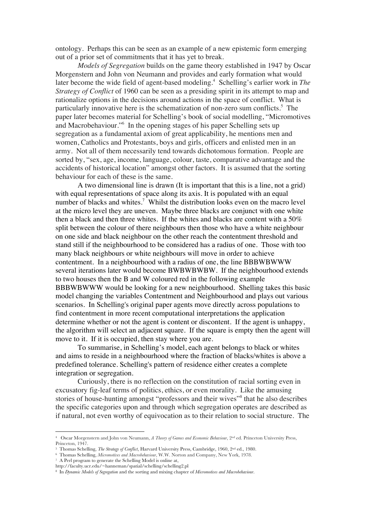ontology. Perhaps this can be seen as an example of a new epistemic form emerging out of a prior set of commitments that it has yet to break.

*Models of Segregation* builds on the game theory established in 1947 by Oscar Morgenstern and John von Neumann and provides and early formation what would later become the wide field of agent-based modeling.<sup>4</sup> Schelling's earlier work in *The Strategy of Conflict* of 1960 can be seen as a presiding spirit in its attempt to map and rationalize options in the decisions around actions in the space of conflict. What is particularly innovative here is the schematization of non-zero sum conflicts.<sup>5</sup> The paper later becomes material for Schelling's book of social modelling, "Micromotives and Macrobehaviour."<sup>6</sup> In the opening stages of his paper Schelling sets up segregation as a fundamental axiom of great applicability, he mentions men and women, Catholics and Protestants, boys and girls, officers and enlisted men in an army. Not all of them necessarily tend towards dichotomous formation. People are sorted by, "sex, age, income, language, colour, taste, comparative advantage and the accidents of historical location" amongst other factors. It is assumed that the sorting behaviour for each of these is the same.

A two dimensional line is drawn (It is important that this is a line, not a grid) with equal representations of space along its axis. It is populated with an equal number of blacks and whites.<sup>7</sup> Whilst the distribution looks even on the macro level at the micro level they are uneven. Maybe three blacks are conjunct with one white then a black and then three whites. If the whites and blacks are content with a 50% split between the colour of there neighbours then those who have a white neighbour on one side and black neighbour on the other reach the contentment threshold and stand still if the neighbourhood to be considered has a radius of one. Those with too many black neighbours or white neighbours will move in order to achieve contentment. In a neighbourhood with a radius of one, the line BBBWBWWW several iterations later would become BWBWBWBW. If the neighbourhood extends to two houses then the B and W coloured red in the following example BBBWBWWW would be looking for a new neighbourhood. Shelling takes this basic model changing the variables Contentment and Neighbourhood and plays out various scenarios. In Schelling's original paper agents move directly across populations to find contentment in more recent computational interpretations the application determine whether or not the agent is content or discontent. If the agent is unhappy, the algorithm will select an adjacent square. If the square is empty then the agent will move to it. If it is occupied, then stay where you are.

To summarise, in Schelling's model, each agent belongs to black or whites and aims to reside in a neighbourhood where the fraction of blacks/whites is above a predefined tolerance. Schelling's pattern of residence either creates a complete integration or segregation.

Curiously, there is no reflection on the constitution of racial sorting even in excusatory fig-leaf terms of politics, ethics, or even morality. Like the amusing stories of house-hunting amongst "professors and their wives"<sup>8</sup> that he also describes the specific categories upon and through which segregation operates are described as if natural, not even worthy of equivocation as to their relation to social structure. The

<sup>4</sup> Oscar Morgenstern and John von Neumann, *A Theory of Games and Economic Behaviour*, 2nd ed. Princeton University Press, Princeton, 1947.

<sup>5</sup> Thomas Schelling, *The Strategy of Conflict*, Harvard University Press, Cambridge, 1960, 2nd ed., 1980.

<sup>6</sup> Thomas Schelling, *Micromotives and Macrobehaviour*, W.W. Norton and Company, New York, 1978.

<sup>7</sup> A Perl program to generate the Schelling Model is online at,

http://faculty.ucr.edu/~hanneman/spatial/schelling/schelling2.pl

<sup>8</sup> In *Dynamic Models of Segregation* and the sorting and mixing chapter of *Micromotives and Macrobehaviour*.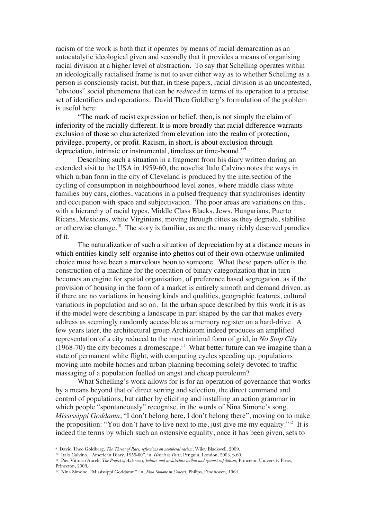racism of the work is both that it operates by means of racial demarcation as an autocatalytic ideological given and secondly that it provides a means of organising racial division at a higher level of abstraction. To say that Schelling operates within an ideologically racialised frame is not to aver either way as to whether Schelling as a person is consciously racist, but that, in these papers, racial division is an uncontested, "obvious" social phenomena that can be *reduced* in terms of its operation to a precise set of identifiers and operations. David Theo Goldberg's formulation of the problem is useful here:

"The mark of racist expression or belief, then, is not simply the claim of inferiority of the racially different. It is more broadly that racial difference warrants exclusion of those so characterized from elevation into the realm of protection, privilege, property, or profit. Racism, in short, is about exclusion through depreciation, intrinsic or instrumental, timeless or time-bound."9

Describing such a situation in a fragment from his diary written during an extended visit to the USA in 1959-60, the novelist Italo Calvino notes the ways in which urban form in the city of Cleveland is produced by the intersection of the cycling of consumption in neighbourhood level zones, where middle class white families buy cars, clothes, vacations in a pulsed frequency that synchronises identity and occupation with space and subjectivation. The poor areas are variations on this, with a hierarchy of racial types, Middle Class Blacks, Jews, Hungarians, Puerto Ricans, Mexicans, white Virginians, moving through cities as they degrade, stabilise or otherwise change.<sup>10</sup> The story is familiar, as are the many richly deserved parodies of it.

The naturalization of such a situation of depreciation by at a distance means in which entities kindly self-organise into ghettos out of their own otherwise unlimited choice must have been a marvelous boon to someone. What these papers offer is the construction of a machine for the operation of binary categorization that in turn becomes an engine for spatial organisation, of preference based segregation, as if the provision of housing in the form of a market is entirely smooth and demand driven, as if there are no variations in housing kinds and qualities, geographic features, cultural variations in population and so on. In the urban space described by this work it is as if the model were describing a landscape in part shaped by the car that makes every address as seemingly randomly accessible as a memory register on a hard-drive. A few years later, the architectural group Archizoom indeed produces an amplified representation of a city reduced to the most minimal form of grid, in *No Stop City*  $(1968-70)$  the city becomes a dromescape.<sup>11</sup> What better future can we imagine than a state of permanent white flight, with computing cycles speeding up, populations moving into mobile homes and urban planning becoming solely devoted to traffic massaging of a population fuelled on angst and cheap petroleum?

What Schelling's work allows for is for an operation of governance that works by a means beyond that of direct sorting and selection, the direct command and control of populations, but rather by eliciting and installing an action grammar in which people "spontaneously" recognise, in the words of Nina Simone's song, *Mississippi Goddamn*, "I don't belong here, I don't belong there", moving on to make the proposition: "You don't have to live next to me, just give me my equality."<sup>12</sup> It is indeed the terms by which such an ostensive equality, once it has been given, sets to

<sup>9</sup> David Theo Goldberg, *The Threat of Race, reflections on neoliberal racism*, Wiley Blackwell, 2009.

<sup>10</sup> Italo Calvino, "American Diary, 1959-60", in, *Hermit in Paris*, Penguin, London, 2003, p.60.

<sup>11</sup> Pier Vittorio Aureli, *The Project of Autonomy, politics and architecture within and against capitalism*, Princeton University Press, Princeton, 2008.

<sup>12</sup> Nina Simone, "Mississippi Goddamn", in, *Nina Simone in Concert*, Philips, Eindhoven, 1964.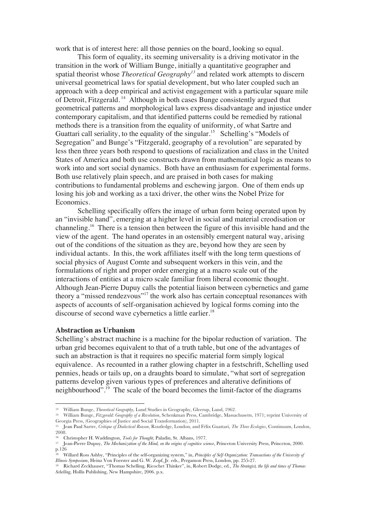work that is of interest here: all those pennies on the board, looking so equal.

This form of equality, its seeming universality is a driving motivator in the transition in the work of William Bunge, initially a quantitative geographer and spatial theorist whose *Theoretical Geography<sup>13</sup>* and related work attempts to discern universal geometrical laws for spatial development, but who later coupled such an approach with a deep empirical and activist engagement with a particular square mile of Detroit, Fitzgerald. 14 Although in both cases Bunge consistently argued that geometrical patterns and morphological laws express disadvantage and injustice under contemporary capitalism, and that identified patterns could be remedied by rational methods there is a transition from the equality of uniformity, of what Sartre and Guattari call seriality, to the equality of the singular.<sup>15</sup> Schelling's "Models of Segregation" and Bunge's "Fitzgerald, geography of a revolution" are separated by less then three years both respond to questions of racialization and class in the United States of America and both use constructs drawn from mathematical logic as means to work into and sort social dynamics. Both have an enthusiasm for experimental forms. Both use relatively plain speech, and are praised in both cases for making contributions to fundamental problems and eschewing jargon. One of them ends up losing his job and working as a taxi driver, the other wins the Nobel Prize for Economics.

Schelling specifically offers the image of urban form being operated upon by an "invisible hand", emerging at a higher level in social and material creodisation or channeling.16 There is a tension then between the figure of this invisible hand and the view of the agent. The hand operates in an ostensibly emergent natural way, arising out of the conditions of the situation as they are, beyond how they are seen by individual actants. In this, the work affiliates itself with the long term questions of social physics of August Comte and subsequent workers in this vein, and the formulations of right and proper order emerging at a macro scale out of the interactions of entities at a micro scale familiar from liberal economic thought. Although Jean-Pierre Dupuy calls the potential liaison between cybernetics and game theory a "missed rendezvous"17 the work also has certain conceptual resonances with aspects of accounts of self-organisation achieved by logical forms coming into the discourse of second wave cybernetics a little earlier.<sup>18</sup>

#### **Abstraction as Urbanism**

 

Schelling's abstract machine is a machine for the bipolar reduction of variation. The urban grid becomes equivalent to that of a truth table, but one of the advantages of such an abstraction is that it requires no specific material form simply logical equivalence. As recounted in a rather glowing chapter in a festschrift, Schelling used pennies, heads or tails up, on a draughts board to simulate, "what sort of segregation patterns develop given various types of preferences and alterative definitions of neighbourhood".<sup>19</sup> The scale of the board becomes the limit-factor of the diagrams

<sup>13</sup> William Bunge, *Theoretical Geography,* Lund Studies in Geography, Gleerup, Lund, 1962.

<sup>14</sup> William Bunge, *Fitzgerald: Geography of a Revolution*, Schenkman Press, Cambridge, Massachusetts, 1971; reprint University of Georgia Press, (Geographies of Justice and Social Transformation), 2011.

<sup>15</sup> Jean Paul Sartre, *Critique of Dialectical Reason*, Routledge, London, and Félix Guattari, *The Three Ecologies*, Continuum, London, 2008.

<sup>16</sup> Christopher H. Waddington, *Tools for Thought*, Paladin, St. Albans, 1977.

<sup>17</sup> Jean-Pierre Dupuy, *The Mechanization of the Mind, on the origins of cognitive science*, Princeton University Press, Princeton, 2000. p.126

<sup>&</sup>lt;sup>18</sup> Willard Ross Ashby, "Principles of the self-organizing system," in, *Principles of Self-Organization: Transactions of the University of Illinois Symposium*, Heinz Von Foerster and G. W. Zopf, Jr. eds., Pergamon Press, London, pp. 255-27.

<sup>19</sup> Richard Zeckhauser, "Thomas Schelling, Ricochet Thinker", in, Robert Dodge, ed., *The Strategist, the life and times of Thomas Schelling*, Hollis Publishing, New Hampshire, 2006. p.x.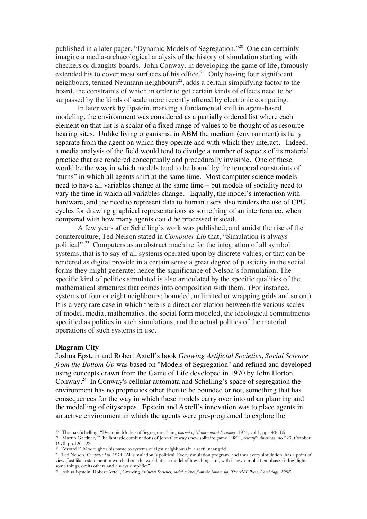published in a later paper, "Dynamic Models of Segregation."20 One can certainly imagine a media-archaeological analysis of the history of simulation starting with checkers or draughts boards. John Conway, in developing the game of life, famously extended his to cover most surfaces of his office.<sup>21</sup> Only having four significant neighbours, termed Neumann neighbours<sup>22</sup>, adds a certain simplifying factor to the board, the constraints of which in order to get certain kinds of effects need to be surpassed by the kinds of scale more recently offered by electronic computing.

In later work by Epstein, marking a fundamental shift in agent-based modeling, the environment was considered as a partially ordered list where each element on that list is a scalar of a fixed range of values to be thought of as resource bearing sites. Unlike living organisms, in ABM the medium (environment) is fully separate from the agent on which they operate and with which they interact. Indeed, a media analysis of the field would tend to divulge a number of aspects of its material practice that are rendered conceptually and procedurally invisible. One of these would be the way in which models tend to be bound by the temporal constraints of "turns" in which all agents shift at the same time. Most computer science models need to have all variables change at the same time – but models of sociality need to vary the time in which all variables change. Equally, the model's interaction with hardware, and the need to represent data to human users also renders the use of CPU cycles for drawing graphical representations as something of an interference, when compared with how many agents could be processed instead.

A few years after Schelling's work was published, and amidst the rise of the counterculture, Ted Nelson stated in *Computer Lib* that, "Simulation is always political".23 Computers as an abstract machine for the integration of all symbol systems, that is to say of all systems operated upon by discrete values, or that can be rendered as digital provide in a certain sense a great degree of plasticity in the social forms they might generate: hence the significance of Nelson's formulation. The specific kind of politics simulated is also articulated by the specific qualities of the mathematical structures that comes into composition with them. (For instance, systems of four or eight neighbours; bounded, unlimited or wrapping grids and so on.) It is a very rare case in which there is a direct correlation between the various scales of model, media, mathematics, the social form modeled, the ideological commitments specified as politics in such simulations, and the actual politics of the material operations of such systems in use.

# **Diagram City**

 

Joshua Epstein and Robert Axtell's book *Growing Artificial Societies, Social Science from the Bottom Up* was based on "Models of Segregation" and refined and developed using concepts drawn from the Game of Life developed in 1970 by John Horton Conway.24 In Conway's cellular automata and Schelling's space of segregation the environment has no proprieties other then to be bounded or not, something that has consequences for the way in which these models carry over into urban planning and the modelling of cityscapes. Epstein and Axtell's innovation was to place agents in an active environment in which the agents were pre-programed to explore the

<sup>20</sup> Thomas Schelling, "Dynamic Models of Segregation", in, *Journal of Mathematical Sociology*, 1971, vol.1, pp.143-186. 21 Martin Gardner, "The fantastic combinations of John Conway's new solitaire game "life"", *Scientific American*, no.223, October 1970, pp.120-123.

 $22$  Edward F. Moore gives his name to systems of eight neighbours in a rectilinear grid.

<sup>&</sup>lt;sup>23</sup> Ted Nelson, *Computer Lib*, 1974 "All simulation is political. Every simulation program, and thus every simulation, has a point of view. Just like a statement in words about the world, it is a model of how things are, with its own implicit emphases: it highlights some things, omits others and always simplifies"

<sup>24</sup> Joshua Epstein, Robert Axtell, Growing *Artificial Societies, social science from the bottom-up, The MIT Press, Cambridge, 1996.*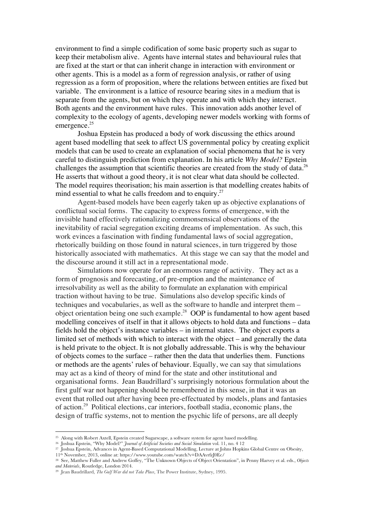environment to find a simple codification of some basic property such as sugar to keep their metabolism alive. Agents have internal states and behavioural rules that are fixed at the start or that can inherit change in interaction with environment or other agents. This is a model as a form of regression analysis, or rather of using regression as a form of proposition, where the relations between entities are fixed but variable. The environment is a lattice of resource bearing sites in a medium that is separate from the agents, but on which they operate and with which they interact. Both agents and the environment have rules. This innovation adds another level of complexity to the ecology of agents, developing newer models working with forms of emergence. 25

Joshua Epstein has produced a body of work discussing the ethics around agent based modelling that seek to affect US governmental policy by creating explicit models that can be used to create an explanation of social phenomena that he is very careful to distinguish prediction from explanation. In his article *Why Model?* Epstein challenges the assumption that scientific theories are created from the study of data.<sup>26</sup> He asserts that without a good theory, it is not clear what data should be collected. The model requires theorisation; his main assertion is that modelling creates habits of mind essential to what he calls freedom and to enquiry.<sup>27</sup>

Agent-based models have been eagerly taken up as objective explanations of conflictual social forms. The capacity to express forms of emergence, with the invisible hand effectively rationalizing commonsensical observations of the inevitability of racial segregation exciting dreams of implementation. As such, this work evinces a fascination with finding fundamental laws of social aggregation, rhetorically building on those found in natural sciences, in turn triggered by those historically associated with mathematics. At this stage we can say that the model and the discourse around it still act in a representational mode.

Simulations now operate for an enormous range of activity. They act as a form of prognosis and forecasting, of pre-emption and the maintenance of irresolvability as well as the ability to formulate an explanation with empirical traction without having to be true. Simulations also develop specific kinds of techniques and vocabularies, as well as the software to handle and interpret them – object orientation being one such example.28 OOP is fundamental to how agent based modelling conceives of itself in that it allows objects to hold data and functions – data fields hold the object's instance variables – in internal states. The object exports a limited set of methods with which to interact with the object – and generally the data is held private to the object. It is not globally addressable. This is why the behaviour of objects comes to the surface – rather then the data that underlies them. Functions or methods are the agents' rules of behaviour. Equally, we can say that simulations may act as a kind of theory of mind for the state and other institutional and organisational forms. Jean Baudrillard's surprisingly notorious formulation about the first gulf war not happening should be remembered in this sense, in that it was an event that rolled out after having been pre-effectuated by models, plans and fantasies of action.<sup>29</sup> Political elections, car interiors, football stadia, economic plans, the design of traffic systems, not to mention the psychic life of persons, are all deeply

<sup>&</sup>lt;sup>25</sup> Along with Robert Axtell, Epstein created Sugarscape, a software system for agent based modelling.<br><sup>26</sup> Joshua Epstein, "Why Model?" *Journal of Artificial Societies and Social Simulation* vol. 11, no. 4 12<br><sup>27</sup> Joshu 11th November, 2013, online at: https://www.youtube.com/watch?v=DAAvrfzJ0Ec/

<sup>28</sup> See, Matthew Fuller and Andrew Goffey, "The Unknown Objects of Object Orientation", in Penny Harvey et al. eds., *Objects and Materials*, Routledge, London 2014.

<sup>29</sup> Jean Baudrillard, *The Gulf War did not Take Place*, The Power Institute, Sydney, 1995.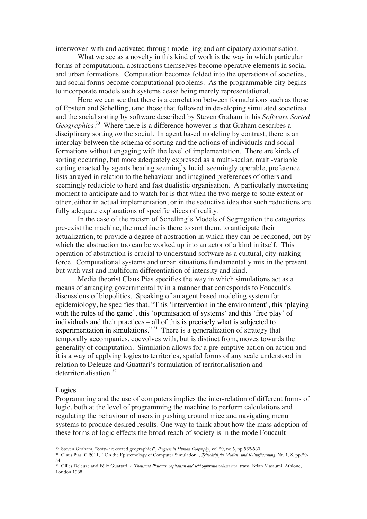interwoven with and activated through modelling and anticipatory axiomatisation.

What we see as a novelty in this kind of work is the way in which particular forms of computational abstractions themselves become operative elements in social and urban formations. Computation becomes folded into the operations of societies, and social forms become computational problems. As the programmable city begins to incorporate models such systems cease being merely representational.

Here we can see that there is a correlation between formulations such as those of Epstein and Schelling, (and those that followed in developing simulated societies) and the social sorting by software described by Steven Graham in his *Software Sorted Geographies*. 30 Where there is a difference however is that Graham describes a disciplinary sorting *on* the social. In agent based modeling by contrast, there is an interplay between the schema of sorting and the actions of individuals and social formations without engaging with the level of implementation. There are kinds of sorting occurring, but more adequately expressed as a multi-scalar, multi-variable sorting enacted by agents bearing seemingly lucid, seemingly operable, preference lists arrayed in relation to the behaviour and imagined preferences of others and seemingly reducible to hard and fast dualistic organisation. A particularly interesting moment to anticipate and to watch for is that when the two merge to some extent or other, either in actual implementation, or in the seductive idea that such reductions are fully adequate explanations of specific slices of reality.

In the case of the racism of Schelling's Models of Segregation the categories pre-exist the machine, the machine is there to sort them, to anticipate their actualization, to provide a degree of abstraction in which they can be reckoned, but by which the abstraction too can be worked up into an actor of a kind in itself. This operation of abstraction is crucial to understand software as a cultural, city-making force. Computational systems and urban situations fundamentally mix in the present, but with vast and multiform differentiation of intensity and kind.

Media theorist Claus Pias specifies the way in which simulations act as a means of arranging governmentality in a manner that corresponds to Foucault's discussions of biopolitics. Speaking of an agent based modeling system for epidemiology, he specifies that, "This 'intervention in the environment', this 'playing with the rules of the game', this 'optimisation of systems' and this 'free play' of individuals and their practices – all of this is precisely what is subjected to experimentation in simulations."<sup>31</sup> There is a generalization of strategy that temporally accompanies, coevolves with, but is distinct from, moves towards the generality of computation. Simulation allows for a pre-emptive action on action and it is a way of applying logics to territories, spatial forms of any scale understood in relation to Deleuze and Guattari's formulation of territorialisation and deterritorialisation<sup>32</sup>

## **Logics**

 

Programming and the use of computers implies the inter-relation of different forms of logic, both at the level of programming the machine to perform calculations and regulating the behaviour of users in pushing around mice and navigating menu systems to produce desired results. One way to think about how the mass adoption of these forms of logic effects the broad reach of society is in the mode Foucault

<sup>30</sup> Steven Graham, "Software-sorted geographies", *Progress in Human Geography*, vol.29, no.5, pp.562-580.

<sup>31</sup> Claus Pias, C 2011, "On the Epistemology of Computer Simulation", *Zeitschrift für Medien- und Kulturforschung*, Nr. 1, S. pp.29- 54.

<sup>&</sup>lt;sup>32</sup> Gilles Deleuze and Félix Guattari, *A Thousand Plateaus, capitalism and schizophrenia volume two*, trans. Brian Massumi, Athlone, London 1988.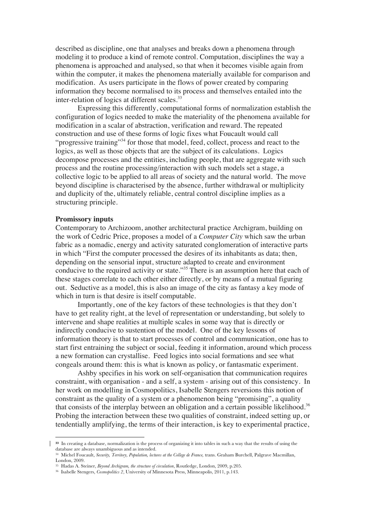described as discipline, one that analyses and breaks down a phenomena through modeling it to produce a kind of remote control. Computation, disciplines the way a phenomena is approached and analysed, so that when it becomes visible again from within the computer, it makes the phenomena materially available for comparison and modification. As users participate in the flows of power created by comparing information they become normalised to its process and themselves entailed into the inter-relation of logics at different scales.<sup>33</sup>

Expressing this differently, computational forms of normalization establish the configuration of logics needed to make the materiality of the phenomena available for modification in a scalar of abstraction, verification and reward. The repeated construction and use of these forms of logic fixes what Foucault would call "progressive training"<sup>34</sup> for those that model, feed, collect, process and react to the logics, as well as those objects that are the subject of its calculations. Logics decompose processes and the entities, including people, that are aggregate with such process and the routine processing/interaction with such models set a stage, a collective logic to be applied to all areas of society and the natural world. The move beyond discipline is characterised by the absence, further withdrawal or multiplicity and duplicity of the, ultimately reliable, central control discipline implies as a structuring principle.

## **Promissory inputs**

Contemporary to Archizoom, another architectural practice Archigram, building on the work of Cedric Price, proposes a model of a *Computer City* which saw the urban fabric as a nomadic, energy and activity saturated conglomeration of interactive parts in which "First the computer processed the desires of its inhabitants as data; then, depending on the sensorial input, structure adapted to create and environment conducive to the required activity or state."<sup>35</sup> There is an assumption here that each of these stages correlate to each other either directly, or by means of a mutual figuring out. Seductive as a model, this is also an image of the city as fantasy a key mode of which in turn is that desire is itself computable.

Importantly, one of the key factors of these technologies is that they don't have to get reality right, at the level of representation or understanding, but solely to intervene and shape realities at multiple scales in some way that is directly or indirectly conducive to sustention of the model. One of the key lessons of information theory is that to start processes of control and communication, one has to start first entraining the subject or social, feeding it information, around which process a new formation can crystallise. Feed logics into social formations and see what congeals around them: this is what is known as policy, or fantasmatic experiment.

Ashby specifies in his work on self-organisation that communication requires constraint, with organisation - and a self, a system - arising out of this consistency. In her work on modelling in Cosmopolitics, Isabelle Stengers reversions this notion of constraint as the quality of a system or a phenomenon being "promising", a quality that consists of the interplay between an obligation and a certain possible likelihood.<sup>36</sup> Probing the interaction between these two qualities of constraint, indeed setting up, or tendentially amplifying, the terms of their interaction, is key to experimental practice,

**<sup>33</sup>** In creating a database, normalization is the process of organizing it into tables in such a way that the results of using the database are always unambiguous and as intended.

<sup>34</sup> Michel Foucault, *Security, Territory, Population, lectures at the College de France,* trans. Graham Burchell, Palgrave Macmillan, London, 2009.

<sup>35</sup> Hadas A. Steiner, *Beyond Archigram, the structure of circulation*, Routledge, London, 2009, p.205.

<sup>36</sup> Isabelle Stengers, *Cosmopolitics 2*, University of Minnesota Press, Minneapolis, 2011, p.143.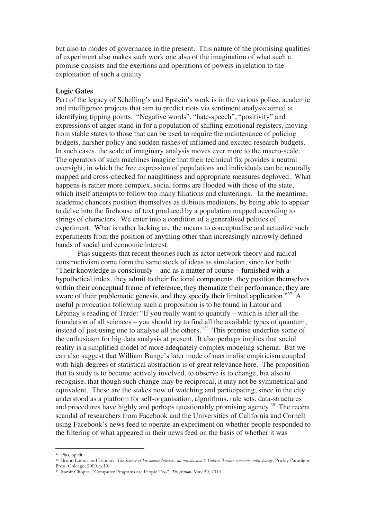but also to modes of governance in the present. This nature of the promising qualities of experiment also makes such work one also of the imagination of what such a promise consists and the exertions and operations of powers in relation to the exploitation of such a quality.

## **Logic Gates**

Part of the legacy of Schelling's and Epstein's work is in the various police, academic and intelligence projects that aim to predict riots via sentiment analysis aimed at identifying tipping points. "Negative words", "hate-speech", "positivity" and expressions of anger stand in for a population of shifting emotional registers, moving from stable states to those that can be used to require the maintenance of policing budgets, harsher policy and sudden rashes of inflamed and excited research budgets. In such cases, the scale of imaginary analysis moves ever more to the macro-scale. The operators of such machines imagine that their technical fix provides a neutral oversight, in which the free expression of populations and individuals can be neutrally mapped and cross-checked for naughtiness and appropriate measures deployed. What happens is rather more complex, social forms are flooded with those of the state, which itself attempts to follow too many filiations and clusterings. In the meantime, academic chancers position themselves as dubious mediators, by being able to appear to delve into the firehouse of text produced by a population mapped according to strings of characters. We enter into a condition of a generalised politics of experiment. What is rather lacking are the means to conceptualise and actualize such experiments from the position of anything other than increasingly narrowly defined bands of social and economic interest.

Pias suggests that recent theories such as actor network theory and radical constructivism come form the same stock of ideas as simulation, since for both: "Their knowledge is consciously – and as a matter of course – furnished with a hypothetical index, they admit to their fictional components, they position themselves within their conceptual frame of reference, they thematize their performance, they are aware of their problematic genesis, and they specify their limited application."<sup>37</sup> A useful provocation following such a proposition is to be found in Latour and Lépinay's reading of Tarde: "If you really want to quantify – which is after all the foundation of all sciences – you should try to find all the available types of quantum, instead of just using one to analyse all the others."38 This premise underlies some of the enthusiasm for big data analysis at present. It also perhaps implies that social reality is a simplified model of more adequately complex modeling schema. But we can also suggest that William Bunge's later mode of maximalist empiricism coupled with high degrees of statistical abstraction is of great relevance here. The proposition that to study is to become actively involved, to observe is to change, but also to recognise, that though such change may be reciprocal, it may not be symmetrical and equivalent. These are the stakes now of watching and participating, since in the city understood as a platform for self-organisation, algorithms, rule sets, data-structures and procedures have highly and perhaps questionably promising agency.<sup>39</sup> The recent scandal of researchers from Facebook and the Universities of California and Cornell using Facebook's news feed to operate an experiment on whether people responded to the filtering of what appeared in their news feed on the basis of whether it was

<sup>37</sup> Pias, op cit

<sup>38</sup> Bruno Latour and Lépinay, *The Science of Passionate Interests, an introduction to Gabriel Tarde's economic anthropology*, Prickly Paradigm Press, Chicago, 2009, p.19.

<sup>39</sup> Samir Chopra, "Computer Programs are People Too", *The Nation*, May 29, 2014.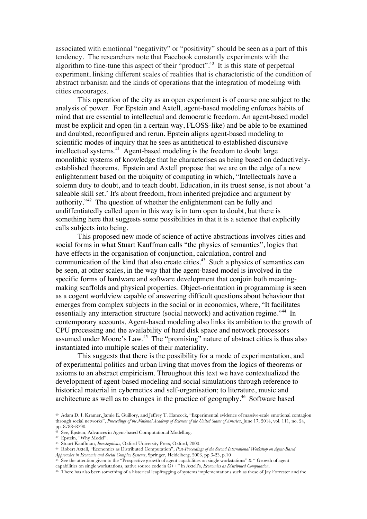associated with emotional "negativity" or "positivity" should be seen as a part of this tendency. The researchers note that Facebook constantly experiments with the algorithm to fine-tune this aspect of their "product".40 It is this state of perpetual experiment, linking different scales of realities that is characteristic of the condition of abstract urbanism and the kinds of operations that the integration of modeling with cities encourages.

This operation of the city as an open experiment is of course one subject to the analysis of power. For Epstein and Axtell, agent-based modeling enforces habits of mind that are essential to intellectual and democratic freedom. An agent-based model must be explicit and open (in a certain way, FLOSS-like) and be able to be examined and doubted, reconfigured and rerun. Epstein aligns agent-based modeling to scientific modes of inquiry that he sees as antithetical to established discursive intellectual systems.41 Agent-based modeling is the freedom to doubt large monolithic systems of knowledge that he characterises as being based on deductivelyestablished theorems. Epstein and Axtell propose that we are on the edge of a new enlightenment based on the ubiquity of computing in which, "Intellectuals have a solemn duty to doubt, and to teach doubt. Education, in its truest sense, is not about 'a saleable skill set.' It's about freedom, from inherited prejudice and argument by authority."42 The question of whether the enlightenment can be fully and undiffentiatedly called upon in this way is in turn open to doubt, but there is something here that suggests some possibilities in that it is a science that explicitly calls subjects into being.

This proposed new mode of science of active abstractions involves cities and social forms in what Stuart Kauffman calls "the physics of semantics", logics that have effects in the organisation of conjunction, calculation, control and communication of the kind that also create cities.<sup>43</sup> Such a physics of semantics can be seen, at other scales, in the way that the agent-based model is involved in the specific forms of hardware and software development that conjoin both meaningmaking scaffolds and physical properties. Object-orientation in programming is seen as a cogent worldview capable of answering difficult questions about behaviour that emerges from complex subjects in the social or in economics, where, "It facilitates essentially any interaction structure (social network) and activation regime."44 In contemporary accounts, Agent-based modeling also links its ambition to the growth of CPU processing and the availability of hard disk space and network processors assumed under Moore's Law.<sup>45</sup> The "promising" nature of abstract cities is thus also instantiated into multiple scales of their materiality.

This suggests that there is the possibility for a mode of experimentation, and of experimental politics and urban living that moves from the logics of theorems or axioms to an abstract empiricism. Throughout this text we have contextualized the development of agent-based modeling and social simulations through reference to historical material in cybernetics and self-organisation; to literature, music and architecture as well as to changes in the practice of geography.46 Software based

<sup>40</sup> Adam D. I. Kramer, Jamie E. Guillory, and Jeffrey T. Hancock, "Experimental evidence of massive-scale emotional contagion through social networks", *Proceedings of the National Academy of Sciences of the United States of America*, June 17, 2014, vol. 111, no. 24, pp. 8788–8790.

See, Epstein, Advances in Agent-based Computational Modelling.

<sup>42</sup> Epstein, "Why Model".

<sup>43</sup> Stuart Kauffman, *Investigations*, Oxford University Press, Oxford, 2000.

<sup>44</sup> Robert Axtell, "Economics as Distributed Computation", *Post-Proceedings of the Second International Workshop on Agent-Based Approaches in Economic and Social Complex Systems*, Springer, Heidelberg, 2003, pp.3-23, p.10

<sup>45</sup> See the attention given to the "Prospective growth of agent capabilities on single workstations" & " Growth of agent

capabilities on single workstations, native source code in C++" in Axtell's, *Economics as Distributed Computation*.

<sup>&</sup>lt;sup>46</sup> There has also been something of a historical leapfrogging of systems implementations such as those of Jay Forrester and the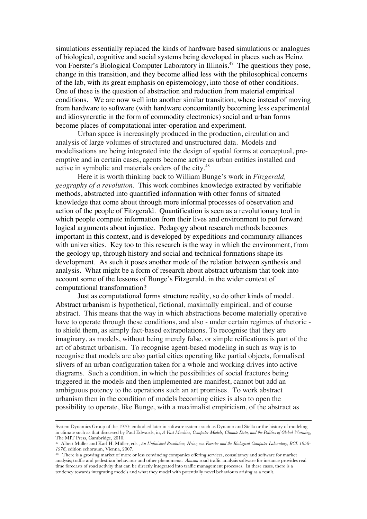simulations essentially replaced the kinds of hardware based simulations or analogues of biological, cognitive and social systems being developed in places such as Heinz von Foerster's Biological Computer Laboratory in Illinois.<sup>47</sup> The questions they pose, change in this transition, and they become allied less with the philosophical concerns of the lab, with its great emphasis on epistemology, into those of other conditions. One of these is the question of abstraction and reduction from material empirical conditions. We are now well into another similar transition, where instead of moving from hardware to software (with hardware concomitantly becoming less experimental and idiosyncratic in the form of commodity electronics) social and urban forms become places of computational inter-operation and experiment.

Urban space is increasingly produced in the production, circulation and analysis of large volumes of structured and unstructured data. Models and modelisations are being integrated into the design of spatial forms at conceptual, preemptive and in certain cases, agents become active as urban entities installed and active in symbolic and materials orders of the city.<sup>48</sup>

Here it is worth thinking back to William Bunge's work in *Fitzgerald, geography of a revolution*. This work combines knowledge extracted by verifiable methods, abstracted into quantified information with other forms of situated knowledge that come about through more informal processes of observation and action of the people of Fitzgerald. Quantification is seen as a revolutionary tool in which people compute information from their lives and environment to put forward logical arguments about injustice. Pedagogy about research methods becomes important in this context, and is developed by expeditions and community alliances with universities. Key too to this research is the way in which the environment, from the geology up, through history and social and technical formations shape its development. As such it poses another mode of the relation between synthesis and analysis. What might be a form of research about abstract urbanism that took into account some of the lessons of Bunge's Fitzgerald, in the wider context of computational transformation?

Just as computational forms structure reality, so do other kinds of model. Abstract urbanism is hypothetical, fictional, maximally empirical, and of course abstract. This means that the way in which abstractions become materially operative have to operate through these conditions, and also - under certain regimes of rhetoric to shield them, as simply fact-based extrapolations. To recognise that they are imaginary, as models, without being merely false, or simple reifications is part of the art of abstract urbanism. To recognise agent-based modeling in such as way is to recognise that models are also partial cities operating like partial objects, formalised slivers of an urban configuration taken for a whole and working drives into active diagrams. Such a condition, in which the possibilities of social fractures being triggered in the models and then implemented are manifest, cannot but add an ambiguous potency to the operations such an art promises. To work abstract urbanism then in the condition of models becoming cities is also to open the possibility to operate, like Bunge, with a maximalist empiricism, of the abstract as

<u> 1989 - Andrea San Andrea San Andrea San Andrea San Andrea San Andrea San Andrea San Andrea San Andrea San An</u>

System Dynamics Group of the 1970s embodied later in software systems such as Dynamo and Stella or the history of modeling in climate such as that discussed by Paul Edwards, in, *A Vast Machine, Computer Models, Climate Data, and the Politics of Global Warming,* The MIT Press, Cambridge, 2010.

<sup>47</sup> Albert Müller and Karl H. Müller, eds., *An Unfinished Revolution, Heinz von Foerster and the Biological Computer Laboratory, BCL 1958- 1976*, edition echoraum, Vienna, 2007.

<sup>48</sup> There is a growing market of more or less convincing companies offering services, consultancy and software for market analysis; traffic and pedestrian behaviour and other phenomena. *Aimsun* road traffic analysis software for instance provides real time forecasts of road activity that can be directly integrated into traffic management processes. In these cases, there is a tendency towards integrating models and what they model with potentially novel behaviours arising as a result.